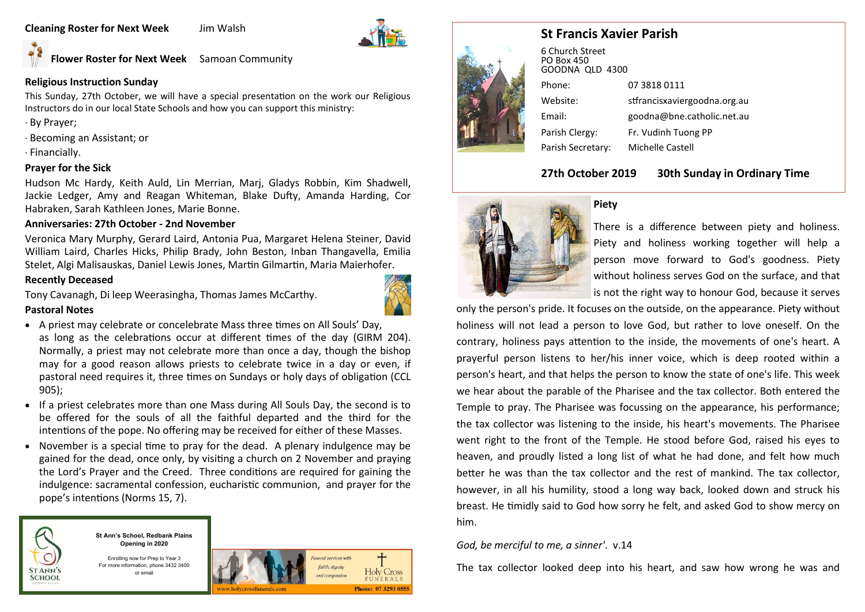**Cleaning Roster for Next Week** Jim Walsh



**Flower Roster for Next Week** Samoan Community

# **Religious Instruction Sunday**

This Sunday, 27th October, we will have a special presentation on the work our Religious Instructors do in our local State Schools and how you can support this ministry:

- · By Prayer;
- · Becoming an Assistant; or
- · Financially.

# **Prayer for the Sick**

Hudson Mc Hardy, Keith Auld, Lin Merrian, Marj, Gladys Robbin, Kim Shadwell, Jackie Ledger, Amy and Reagan Whiteman, Blake Dufty, Amanda Harding, Cor Habraken, Sarah Kathleen Jones, Marie Bonne.

# **Anniversaries: 27th October - 2nd November**

Veronica Mary Murphy, Gerard Laird, Antonia Pua, Margaret Helena Steiner, David William Laird, Charles Hicks, Philip Brady, John Beston, Inban Thangavella, Emilia Stelet, Algi Malisauskas, Daniel Lewis Jones, Martin Gilmartin, Maria Maierhofer.

## **Recently Deceased**

Tony Cavanagh, Di leep Weerasingha, Thomas James McCarthy.

## **Pastoral Notes**



- A priest may celebrate or concelebrate Mass three times on All Souls' Day, as long as the celebrations occur at different times of the day (GIRM 204). Normally, a priest may not celebrate more than once a day, though the bishop may for a good reason allows priests to celebrate twice in a day or even, if pastoral need requires it, three times on Sundays or holy days of obligation (CCL 905);
- If a priest celebrates more than one Mass during All Souls Day, the second is to be offered for the souls of all the faithful departed and the third for the intentions of the pope. No offering may be received for either of these Masses.
- November is a special time to pray for the dead. A plenary indulgence may be gained for the dead, once only, by visiting a church on 2 November and praying the Lord's Prayer and the Creed. Three conditions are required for gaining the indulgence: sacramental confession, eucharistic communion, and prayer for the pope's intentions (Norms 15, 7).



**St Ann's School, Redbank Plains Opening in 2020**

Enrolling now for Prep to Year 3 For more information, phone 3432 3400 or email



# **St Francis Xavier Parish**



6 Church Street PO Box 450 GOODNA QLD 4300 Phone: 07 3818 0111 Website: stfrancisxaviergoodna.org.au Email: goodna@bne.catholic.net.au Parish Clergy: Fr. Vudinh Tuong PP Parish Secretary: Michelle Castell

# **27th October 2019 30th Sunday in Ordinary Time**



## **Piety**

There is a difference between piety and holiness. Piety and holiness working together will help a person move forward to God's goodness. Piety without holiness serves God on the surface, and that is not the right way to honour God, because it serves

only the person's pride. It focuses on the outside, on the appearance. Piety without holiness will not lead a person to love God, but rather to love oneself. On the contrary, holiness pays attention to the inside, the movements of one's heart. A prayerful person listens to her/his inner voice, which is deep rooted within a person's heart, and that helps the person to know the state of one's life. This week we hear about the parable of the Pharisee and the tax collector. Both entered the Temple to pray. The Pharisee was focussing on the appearance, his performance; the tax collector was listening to the inside, his heart's movements. The Pharisee went right to the front of the Temple. He stood before God, raised his eyes to heaven, and proudly listed a long list of what he had done, and felt how much better he was than the tax collector and the rest of mankind. The tax collector, however, in all his humility, stood a long way back, looked down and struck his breast. He timidly said to God how sorry he felt, and asked God to show mercy on him.

# *God, be merciful to me, a sinner'*. v.14

The tax collector looked deep into his heart, and saw how wrong he was and